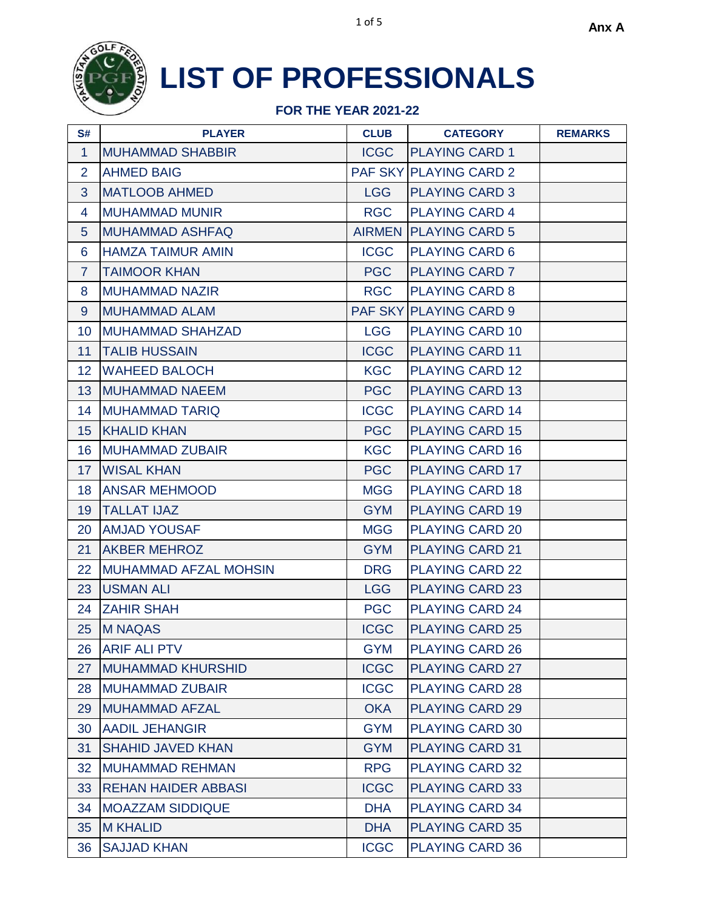

| S#               | <b>PLAYER</b>                | <b>CLUB</b> | <b>CATEGORY</b>               | <b>REMARKS</b> |
|------------------|------------------------------|-------------|-------------------------------|----------------|
| $\mathbf{1}$     | <b>MUHAMMAD SHABBIR</b>      | <b>ICGC</b> | <b>PLAYING CARD 1</b>         |                |
| $\overline{2}$   | <b>AHMED BAIG</b>            |             | <b>PAF SKY PLAYING CARD 2</b> |                |
| 3                | <b>MATLOOB AHMED</b>         | <b>LGG</b>  | <b>PLAYING CARD 3</b>         |                |
| 4                | <b>MUHAMMAD MUNIR</b>        | <b>RGC</b>  | <b>PLAYING CARD 4</b>         |                |
| 5 <sup>5</sup>   | <b>MUHAMMAD ASHFAQ</b>       |             | <b>AIRMEN PLAYING CARD 5</b>  |                |
| 6                | <b>HAMZA TAIMUR AMIN</b>     | <b>ICGC</b> | <b>PLAYING CARD 6</b>         |                |
| $\overline{7}$   | <b>TAIMOOR KHAN</b>          | <b>PGC</b>  | <b>PLAYING CARD 7</b>         |                |
| 8                | <b>MUHAMMAD NAZIR</b>        | <b>RGC</b>  | <b>PLAYING CARD 8</b>         |                |
| 9                | <b>MUHAMMAD ALAM</b>         |             | <b>PAF SKY PLAYING CARD 9</b> |                |
| 10 <sup>°</sup>  | <b>MUHAMMAD SHAHZAD</b>      | <b>LGG</b>  | <b>PLAYING CARD 10</b>        |                |
| 11               | <b>TALIB HUSSAIN</b>         | <b>ICGC</b> | <b>PLAYING CARD 11</b>        |                |
| 12 <sub>2</sub>  | <b>WAHEED BALOCH</b>         | <b>KGC</b>  | <b>PLAYING CARD 12</b>        |                |
| 13               | <b>MUHAMMAD NAEEM</b>        | <b>PGC</b>  | <b>PLAYING CARD 13</b>        |                |
| 14               | <b>MUHAMMAD TARIQ</b>        | <b>ICGC</b> | <b>PLAYING CARD 14</b>        |                |
| 15 <sub>15</sub> | <b>KHALID KHAN</b>           | <b>PGC</b>  | <b>PLAYING CARD 15</b>        |                |
| 16 <sup>°</sup>  | <b>MUHAMMAD ZUBAIR</b>       | <b>KGC</b>  | <b>PLAYING CARD 16</b>        |                |
| 17 <sup>2</sup>  | <b>WISAL KHAN</b>            | <b>PGC</b>  | <b>PLAYING CARD 17</b>        |                |
| 18               | <b>ANSAR MEHMOOD</b>         | <b>MGG</b>  | <b>PLAYING CARD 18</b>        |                |
| 19               | <b>TALLAT IJAZ</b>           | <b>GYM</b>  | <b>PLAYING CARD 19</b>        |                |
| 20               | <b>AMJAD YOUSAF</b>          | <b>MGG</b>  | <b>PLAYING CARD 20</b>        |                |
| 21               | <b>AKBER MEHROZ</b>          | <b>GYM</b>  | <b>PLAYING CARD 21</b>        |                |
| 22 <sub>2</sub>  | <b>MUHAMMAD AFZAL MOHSIN</b> | <b>DRG</b>  | <b>PLAYING CARD 22</b>        |                |
| 23               | <b>USMAN ALI</b>             | <b>LGG</b>  | <b>PLAYING CARD 23</b>        |                |
| 24               | <b>ZAHIR SHAH</b>            | <b>PGC</b>  | <b>PLAYING CARD 24</b>        |                |
| 25               | <b>M NAQAS</b>               | <b>ICGC</b> | <b>PLAYING CARD 25</b>        |                |
| 26               | <b>ARIF ALI PTV</b>          | <b>GYM</b>  | <b>PLAYING CARD 26</b>        |                |
| 27               | <b>MUHAMMAD KHURSHID</b>     | <b>ICGC</b> | <b>PLAYING CARD 27</b>        |                |
| 28               | <b>MUHAMMAD ZUBAIR</b>       | <b>ICGC</b> | <b>PLAYING CARD 28</b>        |                |
| 29               | <b>MUHAMMAD AFZAL</b>        | <b>OKA</b>  | <b>PLAYING CARD 29</b>        |                |
| 30               | <b>AADIL JEHANGIR</b>        | <b>GYM</b>  | <b>PLAYING CARD 30</b>        |                |
| 31               | <b>SHAHID JAVED KHAN</b>     | <b>GYM</b>  | <b>PLAYING CARD 31</b>        |                |
| 32 <sup>2</sup>  | <b>MUHAMMAD REHMAN</b>       | <b>RPG</b>  | <b>PLAYING CARD 32</b>        |                |
| 33               | <b>REHAN HAIDER ABBASI</b>   | <b>ICGC</b> | <b>PLAYING CARD 33</b>        |                |
| 34               | <b>MOAZZAM SIDDIQUE</b>      | <b>DHA</b>  | <b>PLAYING CARD 34</b>        |                |
| 35               | <b>M KHALID</b>              | <b>DHA</b>  | <b>PLAYING CARD 35</b>        |                |
| 36               | <b>SAJJAD KHAN</b>           | <b>ICGC</b> | <b>PLAYING CARD 36</b>        |                |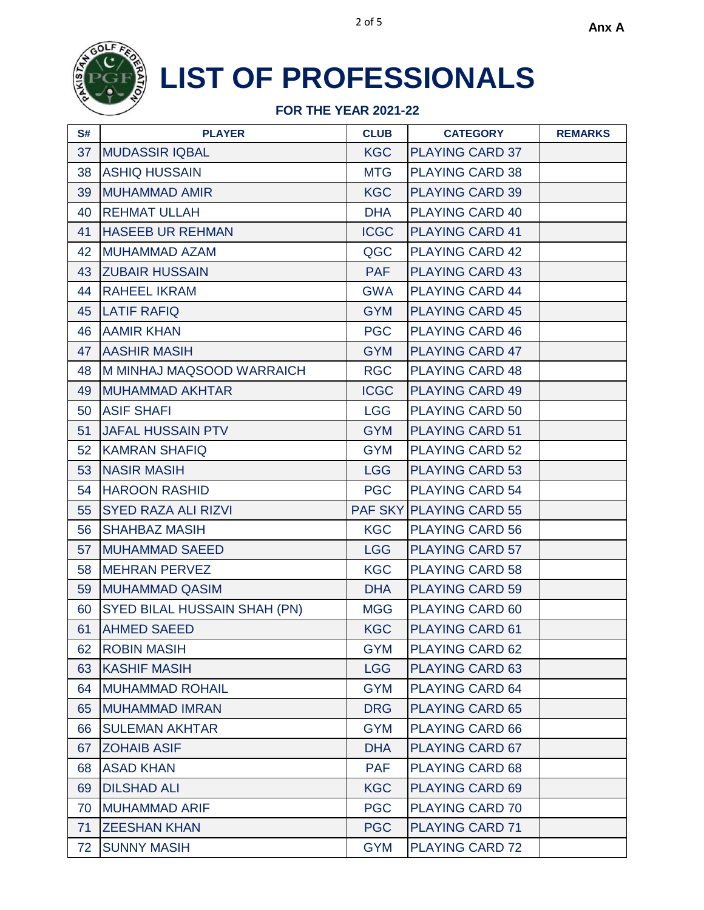

| S# | <b>PLAYER</b>                       | <b>CLUB</b> | <b>CATEGORY</b>         | <b>REMARKS</b> |
|----|-------------------------------------|-------------|-------------------------|----------------|
| 37 | <b>MUDASSIR IQBAL</b>               | <b>KGC</b>  | <b>PLAYING CARD 37</b>  |                |
| 38 | <b>ASHIQ HUSSAIN</b>                | <b>MTG</b>  | <b>PLAYING CARD 38</b>  |                |
| 39 | <b>MUHAMMAD AMIR</b>                | <b>KGC</b>  | <b>PLAYING CARD 39</b>  |                |
| 40 | <b>REHMAT ULLAH</b>                 | <b>DHA</b>  | <b>PLAYING CARD 40</b>  |                |
| 41 | <b>HASEEB UR REHMAN</b>             | <b>ICGC</b> | <b>PLAYING CARD 41</b>  |                |
| 42 | <b>MUHAMMAD AZAM</b>                | QGC         | <b>PLAYING CARD 42</b>  |                |
| 43 | <b>ZUBAIR HUSSAIN</b>               | <b>PAF</b>  | <b>PLAYING CARD 43</b>  |                |
| 44 | <b>RAHEEL IKRAM</b>                 | <b>GWA</b>  | <b>PLAYING CARD 44</b>  |                |
| 45 | <b>LATIF RAFIQ</b>                  | <b>GYM</b>  | <b>PLAYING CARD 45</b>  |                |
| 46 | <b>AAMIR KHAN</b>                   | <b>PGC</b>  | <b>PLAYING CARD 46</b>  |                |
| 47 | <b>AASHIR MASIH</b>                 | <b>GYM</b>  | <b>PLAYING CARD 47</b>  |                |
| 48 | M MINHAJ MAQSOOD WARRAICH           | <b>RGC</b>  | <b>PLAYING CARD 48</b>  |                |
| 49 | <b>MUHAMMAD AKHTAR</b>              | <b>ICGC</b> | <b>PLAYING CARD 49</b>  |                |
| 50 | <b>ASIF SHAFI</b>                   | <b>LGG</b>  | <b>PLAYING CARD 50</b>  |                |
| 51 | <b>JAFAL HUSSAIN PTV</b>            | <b>GYM</b>  | <b>PLAYING CARD 51</b>  |                |
| 52 | <b>KAMRAN SHAFIQ</b>                | <b>GYM</b>  | <b>PLAYING CARD 52</b>  |                |
| 53 | <b>NASIR MASIH</b>                  | <b>LGG</b>  | <b>PLAYING CARD 53</b>  |                |
| 54 | <b>HAROON RASHID</b>                | <b>PGC</b>  | <b>PLAYING CARD 54</b>  |                |
| 55 | <b>SYED RAZA ALI RIZVI</b>          |             | PAF SKY PLAYING CARD 55 |                |
| 56 | <b>SHAHBAZ MASIH</b>                | <b>KGC</b>  | <b>PLAYING CARD 56</b>  |                |
| 57 | <b>MUHAMMAD SAEED</b>               | <b>LGG</b>  | <b>PLAYING CARD 57</b>  |                |
| 58 | <b>MEHRAN PERVEZ</b>                | <b>KGC</b>  | <b>PLAYING CARD 58</b>  |                |
| 59 | <b>MUHAMMAD QASIM</b>               | <b>DHA</b>  | <b>PLAYING CARD 59</b>  |                |
| 60 | <b>SYED BILAL HUSSAIN SHAH (PN)</b> | <b>MGG</b>  | <b>PLAYING CARD 60</b>  |                |
| 61 | <b>AHMED SAEED</b>                  | <b>KGC</b>  | <b>PLAYING CARD 61</b>  |                |
| 62 | <b>ROBIN MASIH</b>                  | <b>GYM</b>  | <b>PLAYING CARD 62</b>  |                |
| 63 | <b>KASHIF MASIH</b>                 | <b>LGG</b>  | <b>PLAYING CARD 63</b>  |                |
| 64 | <b>MUHAMMAD ROHAIL</b>              | <b>GYM</b>  | <b>PLAYING CARD 64</b>  |                |
| 65 | <b>MUHAMMAD IMRAN</b>               | <b>DRG</b>  | <b>PLAYING CARD 65</b>  |                |
| 66 | <b>SULEMAN AKHTAR</b>               | <b>GYM</b>  | <b>PLAYING CARD 66</b>  |                |
| 67 | <b>ZOHAIB ASIF</b>                  | <b>DHA</b>  | PLAYING CARD 67         |                |
| 68 | <b>ASAD KHAN</b>                    | <b>PAF</b>  | <b>PLAYING CARD 68</b>  |                |
| 69 | <b>DILSHAD ALI</b>                  | <b>KGC</b>  | <b>PLAYING CARD 69</b>  |                |
| 70 | <b>MUHAMMAD ARIF</b>                | <b>PGC</b>  | <b>PLAYING CARD 70</b>  |                |
| 71 | <b>ZEESHAN KHAN</b>                 | <b>PGC</b>  | <b>PLAYING CARD 71</b>  |                |
| 72 | <b>SUNNY MASIH</b>                  | <b>GYM</b>  | <b>PLAYING CARD 72</b>  |                |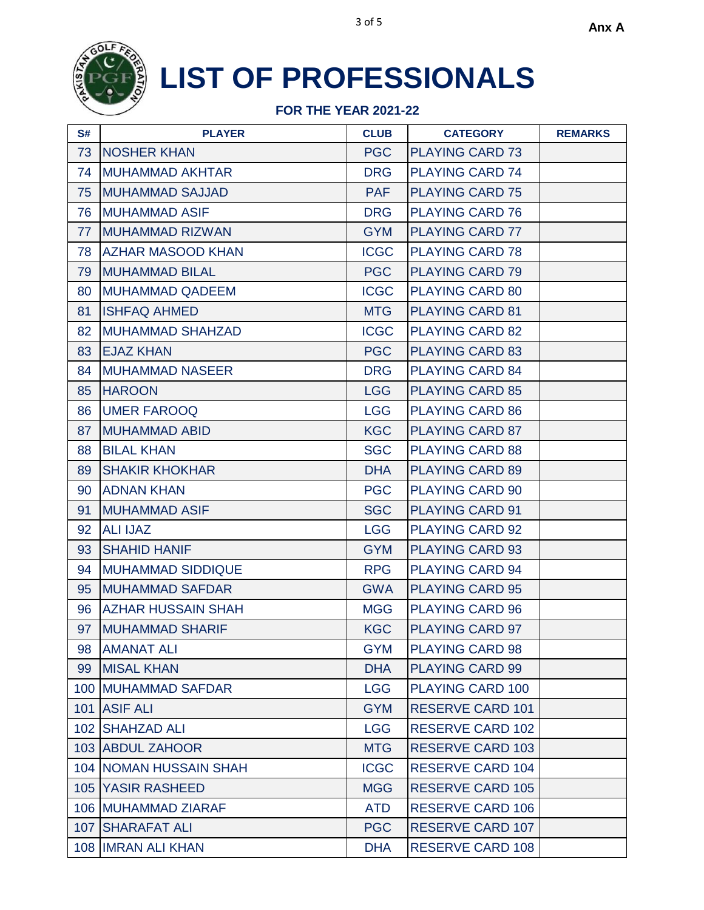

| S# | <b>PLAYER</b>                 | <b>CLUB</b> | <b>CATEGORY</b>         | <b>REMARKS</b> |
|----|-------------------------------|-------------|-------------------------|----------------|
| 73 | <b>NOSHER KHAN</b>            | <b>PGC</b>  | <b>PLAYING CARD 73</b>  |                |
| 74 | <b>MUHAMMAD AKHTAR</b>        | <b>DRG</b>  | <b>PLAYING CARD 74</b>  |                |
| 75 | <b>MUHAMMAD SAJJAD</b>        | <b>PAF</b>  | <b>PLAYING CARD 75</b>  |                |
| 76 | <b>MUHAMMAD ASIF</b>          | <b>DRG</b>  | <b>PLAYING CARD 76</b>  |                |
| 77 | <b>MUHAMMAD RIZWAN</b>        | <b>GYM</b>  | <b>PLAYING CARD 77</b>  |                |
| 78 | <b>AZHAR MASOOD KHAN</b>      | <b>ICGC</b> | <b>PLAYING CARD 78</b>  |                |
| 79 | <b>MUHAMMAD BILAL</b>         | <b>PGC</b>  | <b>PLAYING CARD 79</b>  |                |
| 80 | <b>MUHAMMAD QADEEM</b>        | <b>ICGC</b> | <b>PLAYING CARD 80</b>  |                |
| 81 | <b>ISHFAQ AHMED</b>           | <b>MTG</b>  | <b>PLAYING CARD 81</b>  |                |
| 82 | <b>MUHAMMAD SHAHZAD</b>       | <b>ICGC</b> | <b>PLAYING CARD 82</b>  |                |
| 83 | <b>EJAZ KHAN</b>              | <b>PGC</b>  | <b>PLAYING CARD 83</b>  |                |
| 84 | <b>MUHAMMAD NASEER</b>        | <b>DRG</b>  | <b>PLAYING CARD 84</b>  |                |
| 85 | <b>HAROON</b>                 | <b>LGG</b>  | <b>PLAYING CARD 85</b>  |                |
| 86 | <b>UMER FAROOQ</b>            | <b>LGG</b>  | <b>PLAYING CARD 86</b>  |                |
| 87 | <b>MUHAMMAD ABID</b>          | <b>KGC</b>  | <b>PLAYING CARD 87</b>  |                |
| 88 | <b>BILAL KHAN</b>             | <b>SGC</b>  | <b>PLAYING CARD 88</b>  |                |
| 89 | <b>SHAKIR KHOKHAR</b>         | <b>DHA</b>  | <b>PLAYING CARD 89</b>  |                |
| 90 | <b>ADNAN KHAN</b>             | <b>PGC</b>  | <b>PLAYING CARD 90</b>  |                |
| 91 | <b>MUHAMMAD ASIF</b>          | <b>SGC</b>  | <b>PLAYING CARD 91</b>  |                |
| 92 | <b>ALI IJAZ</b>               | <b>LGG</b>  | <b>PLAYING CARD 92</b>  |                |
| 93 | <b>SHAHID HANIF</b>           | <b>GYM</b>  | <b>PLAYING CARD 93</b>  |                |
| 94 | <b>MUHAMMAD SIDDIQUE</b>      | <b>RPG</b>  | <b>PLAYING CARD 94</b>  |                |
| 95 | <b>MUHAMMAD SAFDAR</b>        | <b>GWA</b>  | <b>PLAYING CARD 95</b>  |                |
| 96 | <b>AZHAR HUSSAIN SHAH</b>     | <b>MGG</b>  | <b>PLAYING CARD 96</b>  |                |
| 97 | <b>MUHAMMAD SHARIF</b>        | <b>KGC</b>  | <b>PLAYING CARD 97</b>  |                |
| 98 | <b>AMANAT ALI</b>             | <b>GYM</b>  | <b>PLAYING CARD 98</b>  |                |
| 99 | <b>MISAL KHAN</b>             | <b>DHA</b>  | <b>PLAYING CARD 99</b>  |                |
|    | 100 MUHAMMAD SAFDAR           | <b>LGG</b>  | PLAYING CARD 100        |                |
|    | 101 ASIF ALI                  | <b>GYM</b>  | <b>RESERVE CARD 101</b> |                |
|    | 102 SHAHZAD ALI               | <b>LGG</b>  | <b>RESERVE CARD 102</b> |                |
|    | 103 ABDUL ZAHOOR              | <b>MTG</b>  | <b>RESERVE CARD 103</b> |                |
|    | <b>104 NOMAN HUSSAIN SHAH</b> | <b>ICGC</b> | <b>RESERVE CARD 104</b> |                |
|    | <b>105 YASIR RASHEED</b>      | <b>MGG</b>  | <b>RESERVE CARD 105</b> |                |
|    | 106 MUHAMMAD ZIARAF           | <b>ATD</b>  | <b>RESERVE CARD 106</b> |                |
|    | <b>107 SHARAFAT ALI</b>       | <b>PGC</b>  | <b>RESERVE CARD 107</b> |                |
|    | 108 IMRAN ALI KHAN            | <b>DHA</b>  | <b>RESERVE CARD 108</b> |                |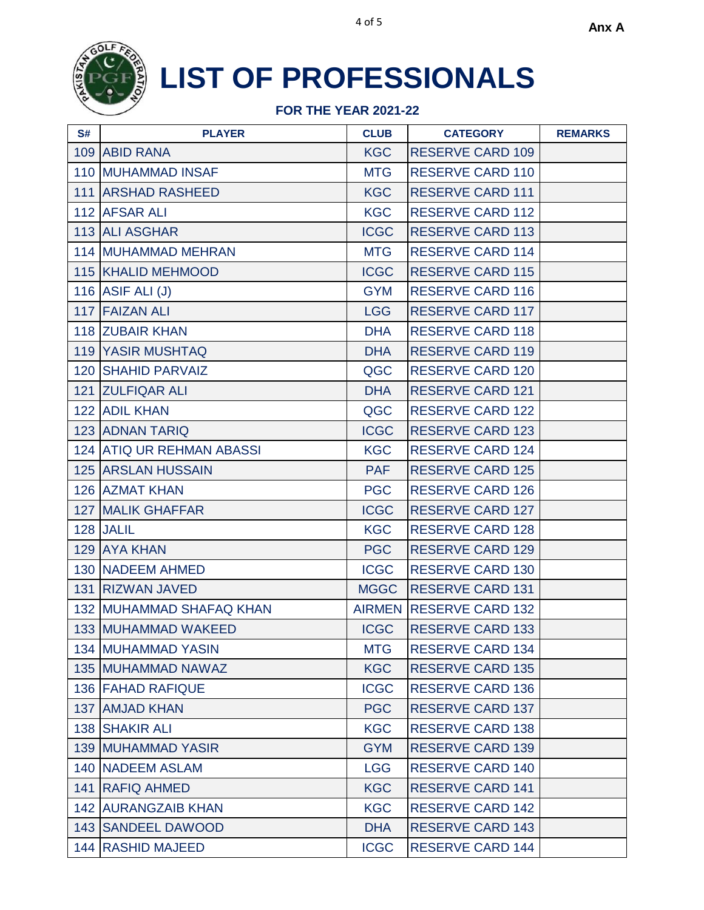

| S# | <b>PLAYER</b>                   | <b>CLUB</b> | <b>CATEGORY</b>         | <b>REMARKS</b> |
|----|---------------------------------|-------------|-------------------------|----------------|
|    | 109 ABID RANA                   | <b>KGC</b>  | <b>RESERVE CARD 109</b> |                |
|    | <b>110 MUHAMMAD INSAF</b>       | <b>MTG</b>  | <b>RESERVE CARD 110</b> |                |
|    | <b>111 ARSHAD RASHEED</b>       | <b>KGC</b>  | <b>RESERVE CARD 111</b> |                |
|    | 112 AFSAR ALI                   | <b>KGC</b>  | <b>RESERVE CARD 112</b> |                |
|    | 113 ALI ASGHAR                  | <b>ICGC</b> | <b>RESERVE CARD 113</b> |                |
|    | <b>114 MUHAMMAD MEHRAN</b>      | <b>MTG</b>  | <b>RESERVE CARD 114</b> |                |
|    | 115 KHALID MEHMOOD              | <b>ICGC</b> | <b>RESERVE CARD 115</b> |                |
|    | 116 ASIF ALI (J)                | <b>GYM</b>  | <b>RESERVE CARD 116</b> |                |
|    | 117 FAIZAN ALI                  | <b>LGG</b>  | <b>RESERVE CARD 117</b> |                |
|    | 118 ZUBAIR KHAN                 | <b>DHA</b>  | <b>RESERVE CARD 118</b> |                |
|    | <b>119 YASIR MUSHTAQ</b>        | <b>DHA</b>  | <b>RESERVE CARD 119</b> |                |
|    | 120 SHAHID PARVAIZ              | QGC         | <b>RESERVE CARD 120</b> |                |
|    | 121 ZULFIQAR ALI                | <b>DHA</b>  | <b>RESERVE CARD 121</b> |                |
|    | <b>122 ADIL KHAN</b>            | QGC         | <b>RESERVE CARD 122</b> |                |
|    | <b>123 ADNAN TARIQ</b>          | <b>ICGC</b> | <b>RESERVE CARD 123</b> |                |
|    | 124 ATIQ UR REHMAN ABASSI       | <b>KGC</b>  | <b>RESERVE CARD 124</b> |                |
|    | <b>125 ARSLAN HUSSAIN</b>       | <b>PAF</b>  | <b>RESERVE CARD 125</b> |                |
|    | 126 AZMAT KHAN                  | <b>PGC</b>  | <b>RESERVE CARD 126</b> |                |
|    | <b>127 MALIK GHAFFAR</b>        | <b>ICGC</b> | <b>RESERVE CARD 127</b> |                |
|    | 128 JALIL                       | <b>KGC</b>  | <b>RESERVE CARD 128</b> |                |
|    | 129 AYA KHAN                    | <b>PGC</b>  | <b>RESERVE CARD 129</b> |                |
|    | 130 NADEEM AHMED                | <b>ICGC</b> | <b>RESERVE CARD 130</b> |                |
|    | 131 RIZWAN JAVED                | <b>MGGC</b> | <b>RESERVE CARD 131</b> |                |
|    | <b>132 MUHAMMAD SHAFAQ KHAN</b> |             | AIRMEN RESERVE CARD 132 |                |
|    | <b>133 MUHAMMAD WAKEED</b>      | <b>ICGC</b> | <b>RESERVE CARD 133</b> |                |
|    | <b>134 MUHAMMAD YASIN</b>       | <b>MTG</b>  | <b>RESERVE CARD 134</b> |                |
|    | <b>135 MUHAMMAD NAWAZ</b>       | <b>KGC</b>  | <b>RESERVE CARD 135</b> |                |
|    | 136 FAHAD RAFIQUE               | <b>ICGC</b> | <b>RESERVE CARD 136</b> |                |
|    | 137 AMJAD KHAN                  | <b>PGC</b>  | <b>RESERVE CARD 137</b> |                |
|    | 138 SHAKIR ALI                  | <b>KGC</b>  | <b>RESERVE CARD 138</b> |                |
|    | <b>139 MUHAMMAD YASIR</b>       | <b>GYM</b>  | <b>RESERVE CARD 139</b> |                |
|    | <b>140 NADEEM ASLAM</b>         | <b>LGG</b>  | <b>RESERVE CARD 140</b> |                |
|    | 141 RAFIQ AHMED                 | <b>KGC</b>  | <b>RESERVE CARD 141</b> |                |
|    | <b>142 AURANGZAIB KHAN</b>      | <b>KGC</b>  | <b>RESERVE CARD 142</b> |                |
|    | <b>143 SANDEEL DAWOOD</b>       | <b>DHA</b>  | <b>RESERVE CARD 143</b> |                |
|    | 144 RASHID MAJEED               | <b>ICGC</b> | <b>RESERVE CARD 144</b> |                |